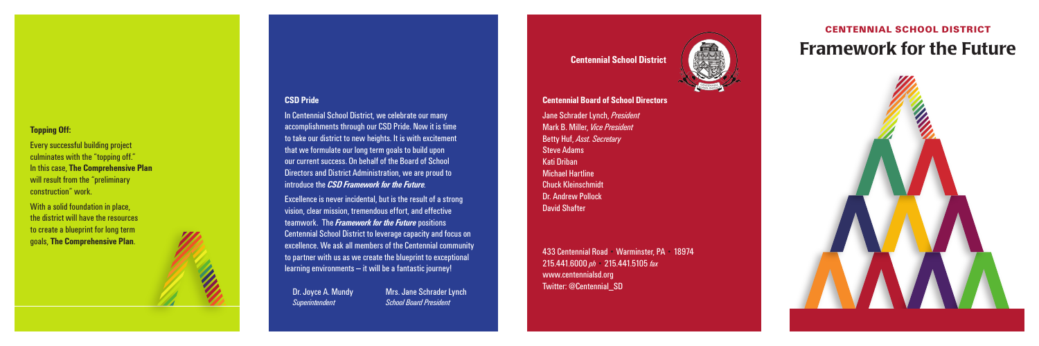



### **CSD Pride**

In Centennial School District, we celebrate our many accomplishments through our CSD Pride. Now it is time to take our district to new heights. It is with excitement that we formulate our long term goals to build upon our current success. On behalf of the Board of School Directors and District Administration, we are proud to introduce the *CSD Framework for the Future.* 

Dr. Joyce A. Mundy Mrs. Jane Schrader Lynch *Superintendent School Board President*

Excellence is never incidental, but is the result of a strong vision, clear mission, tremendous effort, and effective teamwork. The *Framework for the Future* positions Centennial School District to leverage capacity and focus on excellence. We ask all members of the Centennial community to partner with us as we create the blueprint to exceptional learning environments — it will be a fantastic journey!

### **Topping Off:**

Every successful building project culminates with the "topping off." In this case, **The Comprehensive Plan**  will result from the "preliminary construction" work.

With a solid foundation in place, the district will have the resources to create a blueprint for long term goals, **The Comprehensive Plan** .

### **Centennial Board of School Directors**

Jane Schrader Lynch, *President* Mark B. Miller, *Vice President* Betty Huf, *Asst. Secretary* Steve Adams Kati Driban Michael Hartline Chuck Kleinschmidt Dr. Andrew Pollock David Shafter

433 Centennial Road • Warminster, PA • 18974 215.441.6000 *ph* • 215.441.5105 *fax* www.centennialsd.org Twitter: @Centennial\_SD

## **Centennial School District**